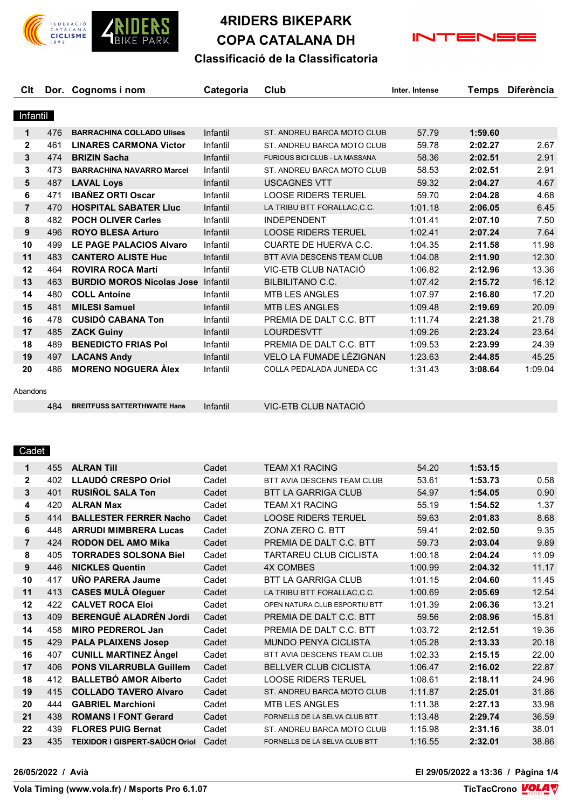

# **4RIDERS BIKEPARK COPA CATALANA DH**



## **Classificació de la Classificatoria**

| Clt            |     | Dor. Cognoms i nom               | Categoria | Club                                  | Inter. Intense | Temps   | <b>Diferència</b> |
|----------------|-----|----------------------------------|-----------|---------------------------------------|----------------|---------|-------------------|
|                |     |                                  |           |                                       |                |         |                   |
| Infantil       |     |                                  |           |                                       |                |         |                   |
| 1              | 476 | <b>BARRACHINA COLLADO Ulises</b> | Infantil  | ST. ANDREU BARCA MOTO CLUB            | 57.79          | 1:59.60 |                   |
| $\mathbf{2}$   | 461 | <b>LINARES CARMONA Victor</b>    | Infantil  | ST. ANDREU BARCA MOTO CLUB            | 59.78          | 2:02.27 | 2.67              |
| 3              | 474 | <b>BRIZIN Sacha</b>              | Infantil  | <b>FURIOUS BICI CLUB - LA MASSANA</b> | 58.36          | 2:02.51 | 2.91              |
| 3              | 473 | <b>BARRACHINA NAVARRO Marcel</b> | Infantil  | ST. ANDREU BARCA MOTO CLUB            | 58.53          | 2:02.51 | 2.91              |
| 5              | 487 | <b>LAVAL Loys</b>                | Infantil  | <b>USCAGNES VTT</b>                   | 59.32          | 2:04.27 | 4.67              |
| 6              | 471 | <b>IBAÑEZ ORTI Oscar</b>         | Infantil  | <b>LOOSE RIDERS TERUEL</b>            | 59.70          | 2:04.28 | 4.68              |
| $\overline{7}$ | 470 | <b>HOSPITAL SABATER LIUC</b>     | Infantil  | LA TRIBU BTT FORALLAC, C.C.           | 1:01.18        | 2:06.05 | 6.45              |
| 8              | 482 | <b>POCH OLIVER Carles</b>        | Infantil  | <b>INDEPENDENT</b>                    | 1:01.41        | 2:07.10 | 7.50              |
| 9              | 496 | <b>ROYO BLESA Arturo</b>         | Infantil  | <b>LOOSE RIDERS TERUEL</b>            | 1:02.41        | 2:07.24 | 7.64              |
| 10             | 499 | <b>LE PAGE PALACIOS Alvaro</b>   | Infantil  | <b>CUARTE DE HUERVA C.C.</b>          | 1:04.35        | 2:11.58 | 11.98             |
| 11             | 483 | <b>CANTERO ALISTE Huc</b>        | Infantil  | BTT AVIA DESCENS TEAM CLUB            | 1:04.08        | 2:11.90 | 12.30             |
| 12             | 464 | <b>ROVIRA ROCA Martí</b>         | Infantil  | VIC-ETB CLUB NATACIÓ                  | 1:06.82        | 2:12.96 | 13.36             |
| 13             | 463 | <b>BURDIO MOROS Nicolas Jose</b> | Infantil  | <b>BILBILITANO C.C.</b>               | 1:07.42        | 2:15.72 | 16.12             |
| 14             | 480 | <b>COLL Antoine</b>              | Infantil  | MTB LES ANGLES                        | 1:07.97        | 2:16.80 | 17.20             |
| 15             | 481 | <b>MILESI Samuel</b>             | Infantil  | <b>MTB LES ANGLES</b>                 | 1:09.48        | 2:19.69 | 20.09             |
| 16             | 478 | <b>CUSIDÓ CABANA Ton</b>         | Infantil  | PREMIA DE DALT C.C. BTT               | 1:11.74        | 2:21.38 | 21.78             |
| 17             | 485 | <b>ZACK Guiny</b>                | Infantil  | <b>LOURDESVTT</b>                     | 1:09.26        | 2:23.24 | 23.64             |
| 18             | 489 | <b>BENEDICTO FRIAS Pol</b>       | Infantil  | PREMIA DE DALT C.C. BTT               | 1:09.53        | 2:23.99 | 24.39             |
| 19             | 497 | <b>LACANS Andy</b>               | Infantil  | VELO LA FUMADE LÉZIGNAN               | 1:23.63        | 2:44.85 | 45.25             |
| 20             | 486 | <b>MORENO NOGUERA Alex</b>       | Infantil  | COLLA PEDALADA JUNEDA CC              | 1:31.43        | 3:08.64 | 1:09.04           |
| Abandons       |     |                                  |           |                                       |                |         |                   |

**BREITFUSS SATTERTHWAITE Hans** Infantil VIC-ETB CLUB NATACIÓ

### Cadet

| $\mathbf 1$    | 455 | <b>ALRAN TIII</b>              | Cadet | <b>TFAM X1 RACING</b>         | 54.20   | 1:53.15 |       |
|----------------|-----|--------------------------------|-------|-------------------------------|---------|---------|-------|
| $\mathbf{2}$   | 402 | <b>LLAUDÓ CRESPO Oriol</b>     | Cadet | BTT AVIA DESCENS TEAM CLUB    | 53.61   | 1:53.73 | 0.58  |
| 3              | 401 | <b>RUSIÑOL SALA Ton</b>        | Cadet | <b>BTT LA GARRIGA CLUB</b>    | 54.97   | 1:54.05 | 0.90  |
| 4              | 420 | <b>ALRAN Max</b>               | Cadet | <b>TEAM X1 RACING</b>         | 55.19   | 1:54.52 | 1.37  |
| 5              | 414 | <b>BALLESTER FERRER Nacho</b>  | Cadet | <b>LOOSE RIDERS TERUEL</b>    | 59.63   | 2:01.83 | 8.68  |
| 6              | 448 | <b>ARRUDI MIMBRERA Lucas</b>   | Cadet | ZONA ZERO C. BTT              | 59.41   | 2:02.50 | 9.35  |
| $\overline{7}$ | 424 | <b>RODON DEL AMO Mika</b>      | Cadet | PREMIA DE DALT C.C. BTT       | 59.73   | 2:03.04 | 9.89  |
| 8              | 405 | <b>TORRADES SOLSONA Biel</b>   | Cadet | <b>TARTAREU CLUB CICLISTA</b> | 1:00.18 | 2:04.24 | 11.09 |
| 9              | 446 | <b>NICKLES Quentin</b>         | Cadet | <b>4X COMBES</b>              | 1:00.99 | 2:04.32 | 11.17 |
| 10             | 417 | UÑO PARERA Jaume               | Cadet | <b>BTT LA GARRIGA CLUB</b>    | 1:01.15 | 2:04.60 | 11.45 |
| 11             | 413 | <b>CASES MULÀ Oleguer</b>      | Cadet | LA TRIBU BTT FORALLAC.C.C.    | 1:00.69 | 2:05.69 | 12.54 |
| 12             | 422 | <b>CALVET ROCA Eloi</b>        | Cadet | OPEN NATURA CLUB ESPORTIU BTT | 1:01.39 | 2:06.36 | 13.21 |
| 13             | 409 | <b>BERENGUÉ ALADRÉN Jordi</b>  | Cadet | PREMIA DE DAITCC. BTT         | 59.56   | 2:08.96 | 15.81 |
| 14             | 458 | <b>MIRO PEDREROL Jan</b>       | Cadet | PREMIA DE DALT C.C. BTT       | 1:03.72 | 2:12.51 | 19.36 |
| 15             | 429 | <b>PALA PLAIXENS Josep</b>     | Cadet | <b>MUNDO PENYA CICLISTA</b>   | 1:05.28 | 2:13.33 | 20.18 |
| 16             | 407 | <b>CUNILL MARTINEZ Angel</b>   | Cadet | BTT AVIA DESCENS TEAM CLUB    | 1:02.33 | 2:15.15 | 22.00 |
| 17             | 406 | <b>PONS VILARRUBLA Guillem</b> | Cadet | <b>BELLVER CLUB CICLISTA</b>  | 1:06.47 | 2:16.02 | 22.87 |
| 18             | 412 | <b>BALLETBÓ AMOR Alberto</b>   | Cadet | LOOSE RIDERS TERUEL           | 1:08.61 | 2:18.11 | 24.96 |
| 19             | 415 | <b>COLLADO TAVERO Alvaro</b>   | Cadet | ST. ANDREU BARCA MOTO CLUB    | 1:11.87 | 2:25.01 | 31.86 |
| 20             | 444 | <b>GABRIEL Marchioni</b>       | Cadet | <b>MTB LES ANGLES</b>         | 1:11.38 | 2:27.13 | 33.98 |
| 21             | 438 | <b>ROMANS I FONT Gerard</b>    | Cadet | FORNELLS DE LA SELVA CLUB BTT | 1:13.48 | 2:29.74 | 36.59 |
| 22             | 439 | <b>FLORES PUIG Bernat</b>      | Cadet | ST. ANDREU BARCA MOTO CLUB    | 1:15.98 | 2:31.16 | 38.01 |
| 23             | 435 | TEIXIDOR I GISPERT-SAÜCH Oriol | Cadet | FORNELLS DE LA SELVA CLUB BTT | 1:16.55 | 2:32.01 | 38.86 |
|                |     |                                |       |                               |         |         |       |

**26/05/2022 / Avià El 29/05/2022 a 13:36 / Pàgina 1/4**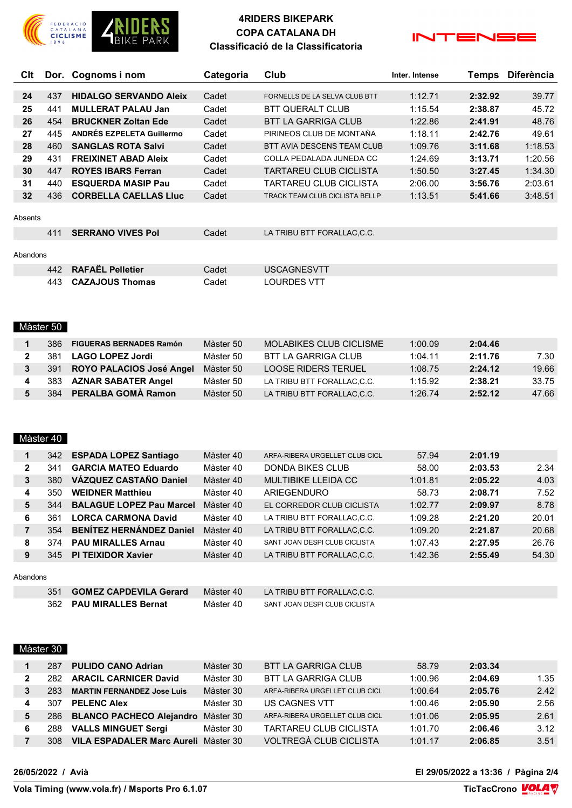

## **4RIDERS BIKEPARK COPA CATALANA DH Classificació de la Classificatoria**



| Clt     |     | Dor. Cognoms i nom            | Categoria | Club                                  | Inter. Intense | Temps   | <b>Diferència</b> |
|---------|-----|-------------------------------|-----------|---------------------------------------|----------------|---------|-------------------|
|         |     |                               |           |                                       |                |         |                   |
| 24      | 437 | <b>HIDALGO SERVANDO Aleix</b> | Cadet     | FORNELLS DE LA SELVA CLUB BTT         | 1:12.71        | 2:32.92 | 39.77             |
| 25      | 441 | <b>MULLERAT PALAU Jan</b>     | Cadet     | <b>BTT QUERALT CLUB</b>               | 1:15.54        | 2:38.87 | 45.72             |
| 26      | 454 | <b>BRUCKNER Zoltan Ede</b>    | Cadet     | <b>BTT LA GARRIGA CLUB</b>            | 1:22.86        | 2:41.91 | 48.76             |
| 27      | 445 | ANDRÉS EZPELETA Guillermo     | Cadet     | PIRINEOS CLUB DE MONTAÑA              | 1:18.11        | 2:42.76 | 49.61             |
| 28      | 460 | <b>SANGLAS ROTA Salvi</b>     | Cadet     | <b>BTT AVIA DESCENS TEAM CLUB</b>     | 1:09.76        | 3:11.68 | 1:18.53           |
| 29      | 431 | <b>FREIXINET ABAD Aleix</b>   | Cadet     | COLLA PEDALADA JUNEDA CC              | 1:24.69        | 3:13.71 | 1:20.56           |
| 30      | 447 | <b>ROYES IBARS Ferran</b>     | Cadet     | <b>TARTAREU CLUB CICLISTA</b>         | 1:50.50        | 3:27.45 | 1:34.30           |
| 31      | 440 | <b>ESQUERDA MASIP Pau</b>     | Cadet     | TARTAREU CLUB CICLISTA                | 2:06.00        | 3:56.76 | 2:03.61           |
| 32      | 436 | <b>CORBELLA CAELLAS LIUC</b>  | Cadet     | <b>TRACK TEAM CLUB CICLISTA BELLP</b> | 1:13.51        | 5:41.66 | 3:48.51           |
|         |     |                               |           |                                       |                |         |                   |
| Absents |     |                               |           |                                       |                |         |                   |

| 411      | <b>SERRANO VIVES Pol</b> | Cadet | LA TRIBU BTT FORALLAC,C.C. |
|----------|--------------------------|-------|----------------------------|
| Abandons |                          |       |                            |
|          | 442 RAFAËL Pelletier     | Cadet | <b>USCAGNESVTT</b>         |

**CAZAJOUS Thomas** Cadet LOURDES VTT

## Màster 50

|   | 386. | <b>FIGUERAS BERNADES Ramón</b> | Màster 50 | MOI ABIKES CLUB CICLISME   | 1:00.09 | 2:04.46 |       |
|---|------|--------------------------------|-----------|----------------------------|---------|---------|-------|
|   | 381  | <b>LAGO LOPEZ Jordi</b>        | Màster 50 | BTT LA GARRIGA CLUB        | 1:04.11 | 2:11.76 | 7.30  |
| 3 |      | 391 ROYO PALACIOS José Angel   | Màster 50 | <b>LOOSE RIDERS TERUEL</b> | 1:08.75 | 2:24.12 | 19.66 |
|   |      | 383 AZNAR SABATER Angel        | Màster 50 | LA TRIBU BTT FORALLAC.C.C. | 1:15.92 | 2:38.21 | 33.75 |
|   |      | 384 PERALBA GOMÀ Ramon         | Màster 50 | LA TRIBU BTT FORALLAC.C.C. | 1.26.74 | 2:52.12 | 47.66 |

#### Màster 40

|              | 342 | <b>ESPADA LOPEZ Santiago</b>    | Màster 40 | ARFA-RIBERA URGELLET CLUB CICL | 57.94   | 2:01.19 |       |
|--------------|-----|---------------------------------|-----------|--------------------------------|---------|---------|-------|
| $\mathbf{2}$ | 341 | <b>GARCIA MATEO Eduardo</b>     | Màster 40 | DONDA BIKES CLUB               | 58.00   | 2:03.53 | 2.34  |
| 3            | 380 | VÁZQUEZ CASTAÑO Daniel          | Màster 40 | <b>MULTIBIKE LLEIDA CC</b>     | 1:01.81 | 2:05.22 | 4.03  |
| 4            | 350 | <b>WEIDNER Matthieu</b>         | Màster 40 | ARIEGENDURO                    | 58.73   | 2:08.71 | 7.52  |
| 5            | 344 | <b>BALAGUE LOPEZ Pau Marcel</b> | Màster 40 | EL CORREDOR CLUB CICLISTA      | 1:02.77 | 2:09.97 | 8.78  |
| 6            | 361 | <b>LORCA CARMONA David</b>      | Màster 40 | LA TRIBU BTT FORALLAC.C.C.     | 1:09.28 | 2:21.20 | 20.01 |
|              | 354 | <b>BENÍTEZ HERNÁNDEZ Daniel</b> | Màster 40 | LA TRIBU BTT FORALLAC,C.C.     | 1:09.20 | 2:21.87 | 20.68 |
| 8            | 374 | <b>PAU MIRALLES Arnau</b>       | Màster 40 | SANT JOAN DESPICLUB CICLISTA   | 1:07.43 | 2:27.95 | 26.76 |
| 9            | 345 | <b>PI TEIXIDOR Xavier</b>       | Màster 40 | LA TRIBU BTT FORALLAC.C.C.     | 1:42.36 | 2:55.49 | 54.30 |
|              |     |                                 |           |                                |         |         |       |

#### Abandons

| 351 | <b>GOMEZ CAPDEVILA Gerard</b> | Màster 40 | LA TRIBU BTT FORALLAC.C.C.    |
|-----|-------------------------------|-----------|-------------------------------|
|     | 362 PAU MIRALLES Bernat       | Màster 40 | SANT JOAN DESPI CLUB CICLISTA |

## Màster 30

|   | 287  | <b>PULIDO CANO Adrian</b>                   | Màster 30 | BTT LA GARRIGA CLUB            | 58.79   | 2:03.34 |      |
|---|------|---------------------------------------------|-----------|--------------------------------|---------|---------|------|
| 2 | 282  | <b>ARACIL CARNICER David</b>                | Màster 30 | BTT LA GARRIGA CLUB            | 1:00.96 | 2:04.69 | 1.35 |
| 3 | 283  | <b>MARTIN FERNANDEZ Jose Luis</b>           | Màster 30 | ARFA-RIBERA URGELLET CLUB CICL | 1:00.64 | 2:05.76 | 2.42 |
| 4 | 307  | <b>PELENC Alex</b>                          | Màster 30 | US CAGNES VTT                  | 1:00.46 | 2:05.90 | 2.56 |
| 5 | 286  | <b>BLANCO PACHECO Alejandro Master 30</b>   |           | ARFA-RIBERA URGELLET CLUB CICL | 1:01.06 | 2:05.95 | 2.61 |
| 6 | 288  | <b>VALLS MINGUET Sergi</b>                  | Màster 30 | <b>TARTAREU CLUB CICLISTA</b>  | 1:01.70 | 2:06.46 | 3.12 |
|   | 308. | <b>VILA ESPADALER Marc Aureli Master 30</b> |           | VOLTREGÀ CLUB CICLISTA         | 1:01.17 | 2:06.85 | 3.51 |

**26/05/2022 / Avià El 29/05/2022 a 13:36 / Pàgina 2/4**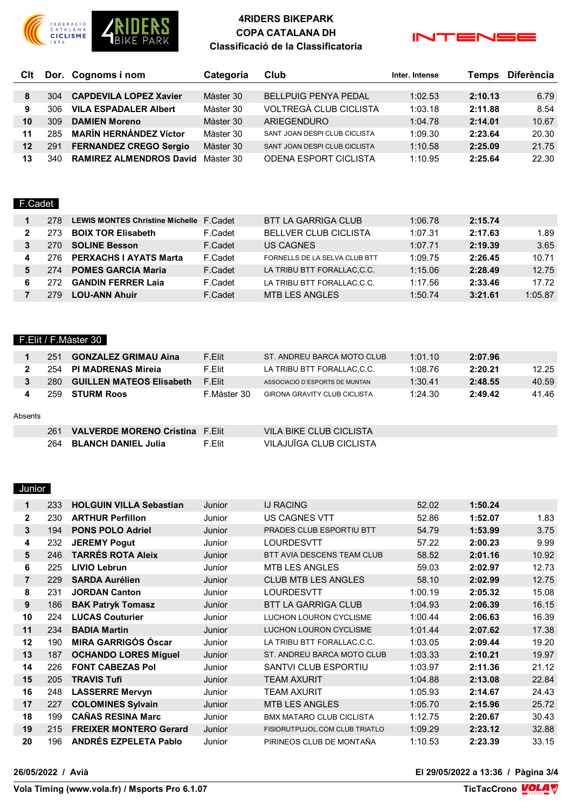

## **4RIDERS BIKEPARK COPA CATALANA DH Classificació de la Classificatoria**



| <b>C</b> It |      | Dor. Cognoms i nom             | Categoria | Club                          | Inter. Intense | <b>Temps</b> | <b>Diferència</b> |
|-------------|------|--------------------------------|-----------|-------------------------------|----------------|--------------|-------------------|
|             |      |                                |           |                               |                |              |                   |
| 8           | 304  | <b>CAPDEVILA LOPEZ Xavier</b>  | Màster 30 | <b>BELLPUIG PENYA PEDAL</b>   | 1:02.53        | 2:10.13      | 6.79              |
| 9           | 306. | <b>VILA ESPADALER Albert</b>   | Màster 30 | VOLTREGÀ CLUB CICLISTA        | 1:03.18        | 2:11.88      | 8.54              |
| 10          | 309  | <b>DAMIEN Moreno</b>           | Màster 30 | ARIEGENDURO                   | 1:04.78        | 2:14.01      | 10.67             |
| 11          | 285  | <b>MARÍN HERNÁNDEZ Víctor</b>  | Màster 30 | SANT JOAN DESPI CLUB CICLISTA | 1:09.30        | 2:23.64      | 20.30             |
| 12          | 291  | <b>FERNANDEZ CREGO Sergio</b>  | Màster 30 | SANT JOAN DESPICLUB CICLISTA  | 1:10.58        | 2:25.09      | 21.75             |
| 13          | 340  | <b>RAMIREZ ALMENDROS David</b> | Màster 30 | <b>ODENA ESPORT CICLISTA</b>  | 1:10.95        | 2:25.64      | 22.30             |

#### F.Cadet

|   | 278  | LEWIS MONTES Christine Michelle F.Cadet |         | BTT LA GARRIGA CLUB           | 1:06.78 | 2:15.74 |         |
|---|------|-----------------------------------------|---------|-------------------------------|---------|---------|---------|
| 2 |      | <b>BOIX TOR Elisabeth</b>               | F.Cadet | <b>BELLVER CLUB CICLISTA</b>  | 1:07.31 | 2:17.63 | 1.89    |
|   |      | <b>SOLINE Besson</b>                    | F.Cadet | US CAGNES                     | 1:07.71 | 2:19.39 | 3.65    |
| 4 | 276. | <b>PERXACHS I AYATS Marta</b>           | F.Cadet | FORNELLS DE LA SELVA CLUB BTT | 1:09.75 | 2:26.45 | 10.71   |
| 5 | 274  | <b>POMES GARCIA Maria</b>               | F.Cadet | LA TRIBU BTT FORALLAC.C.C.    | 1:15.06 | 2:28.49 | 12.75   |
| 6 |      | <b>GANDIN FERRER Laja</b>               | F.Cadet | LA TRIBU BTT FORALLAC.C.C.    | 1:17.56 | 2:33.46 | 17.72   |
|   |      | <b>LOU-ANN Ahuir</b>                    | F.Cadet | <b>MTB LES ANGLES</b>         | 1:50.74 | 3:21.61 | 1:05.87 |

#### F.Elit / F.Màster 30

|         | 251  | <b>GONZALEZ GRIMAU Aina</b>            | F.Elit      | ST. ANDREU BARCA MOTO CLUB          | 1:01.10 | 2:07.96 |       |
|---------|------|----------------------------------------|-------------|-------------------------------------|---------|---------|-------|
| 2       | 254. | <b>PI MADRENAS Mireja</b>              | F.Elit      | LA TRIBU BTT FORALLAC.C.C.          | 1:08.76 | 2:20.21 | 12.25 |
| 3       | 280  | <b>GUILLEN MATEOS Elisabeth</b>        | F.Elit      | ASSOCIACIÓ D'ESPORTS DE MUNTAN      | 1:30.41 | 2:48.55 | 40.59 |
| 4       | 259  | <b>STURM Roos</b>                      | F.Màster 30 | <b>GIRONA GRAVITY CLUB CICLISTA</b> | 1:24.30 | 2:49.42 | 41.46 |
| Absents |      |                                        |             |                                     |         |         |       |
|         | 261  | <b>VALVERDE MORENO Cristina F.Elit</b> |             | VILA BIKE CLUB CICLISTA             |         |         |       |
|         | 264  | <b>BLANCH DANIEL Julia</b>             | F.Elit      | VILAJUÏGA CLUB CICLISTA             |         |         |       |

#### Junior

| $\mathbf 1$    | 233 | <b>HOLGUIN VILLA Sebastian</b> | Junior | <b>IJ RACING</b>                  | 52.02   | 1:50.24 |       |
|----------------|-----|--------------------------------|--------|-----------------------------------|---------|---------|-------|
| $\mathbf{2}$   | 230 | <b>ARTHUR Perfillon</b>        | Junior | <b>US CAGNES VTT</b>              | 52.86   | 1:52.07 | 1.83  |
| 3              | 194 | <b>PONS POLO Adriel</b>        | Junior | PRADES CLUB ESPORTIU BTT          | 54.79   | 1:53.99 | 3.75  |
| 4              | 232 | <b>JEREMY Pogut</b>            | Junior | <b>LOURDESVTT</b>                 | 57.22   | 2:00.23 | 9.99  |
| 5              | 246 | <b>TARRÉS ROTA Aleix</b>       | Junior | <b>BTT AVIA DESCENS TEAM CLUB</b> | 58.52   | 2:01.16 | 10.92 |
| 6              | 225 | <b>LIVIO Lebrun</b>            | Junior | <b>MTB LES ANGLES</b>             | 59.03   | 2:02.97 | 12.73 |
| $\overline{7}$ | 229 | <b>SARDA Aurélien</b>          | Junior | <b>CLUB MTB LES ANGLES</b>        | 58.10   | 2:02.99 | 12.75 |
| 8              | 231 | <b>JORDAN Canton</b>           | Junior | <b>LOURDESVTT</b>                 | 1:00.19 | 2:05.32 | 15.08 |
| 9              | 186 | <b>BAK Patryk Tomasz</b>       | Junior | <b>BTT LA GARRIGA CLUB</b>        | 1:04.93 | 2:06.39 | 16.15 |
| 10             | 224 | <b>LUCAS Couturier</b>         | Junior | LUCHON LOURON CYCLISME            | 1:00.44 | 2:06.63 | 16.39 |
| 11             | 234 | <b>BADIA Martin</b>            | Junior | LUCHON LOURON CYCLISME            | 1:01.44 | 2:07.62 | 17.38 |
| 12             | 190 | <b>MIRA GARRIGÓS Óscar</b>     | Junior | LA TRIBU BTT FORALLAC,C.C.        | 1:03.05 | 2:09.44 | 19.20 |
| 13             | 187 | <b>OCHANDO LORES Miguel</b>    | Junior | ST. ANDREU BARCA MOTO CLUB        | 1:03.33 | 2:10.21 | 19.97 |
| 14             | 226 | <b>FONT CABEZAS Pol</b>        | Junior | <b>SANTVI CLUB ESPORTIU</b>       | 1:03.97 | 2:11.36 | 21.12 |
| 15             | 205 | <b>TRAVIS Tufi</b>             | Junior | <b>TEAM AXURIT</b>                | 1:04.88 | 2:13.08 | 22.84 |
| 16             | 248 | <b>LASSERRE Mervyn</b>         | Junior | <b>TEAM AXURIT</b>                | 1:05.93 | 2:14.67 | 24.43 |
| 17             | 227 | <b>COLOMINES Sylvain</b>       | Junior | <b>MTB LES ANGLES</b>             | 1:05.70 | 2:15.96 | 25.72 |
| 18             | 199 | <b>CAÑAS RESINA Marc</b>       | Junior | <b>BMX MATARO CLUB CICLISTA</b>   | 1:12.75 | 2:20.67 | 30.43 |
| 19             | 215 | <b>FREIXER MONTERO Gerard</b>  | Junior | FISIORUTPUJOL.COM CLUB TRIATLO    | 1:09.29 | 2:23.12 | 32.88 |
| 20             | 196 | <b>ANDRÉS EZPELETA Pablo</b>   | Junior | PIRINEOS CLUB DE MONTAÑA          | 1:10.53 | 2:23.39 | 33.15 |
|                |     |                                |        |                                   |         |         |       |

**26/05/2022 / Avià El 29/05/2022 a 13:36 / Pàgina 3/4**